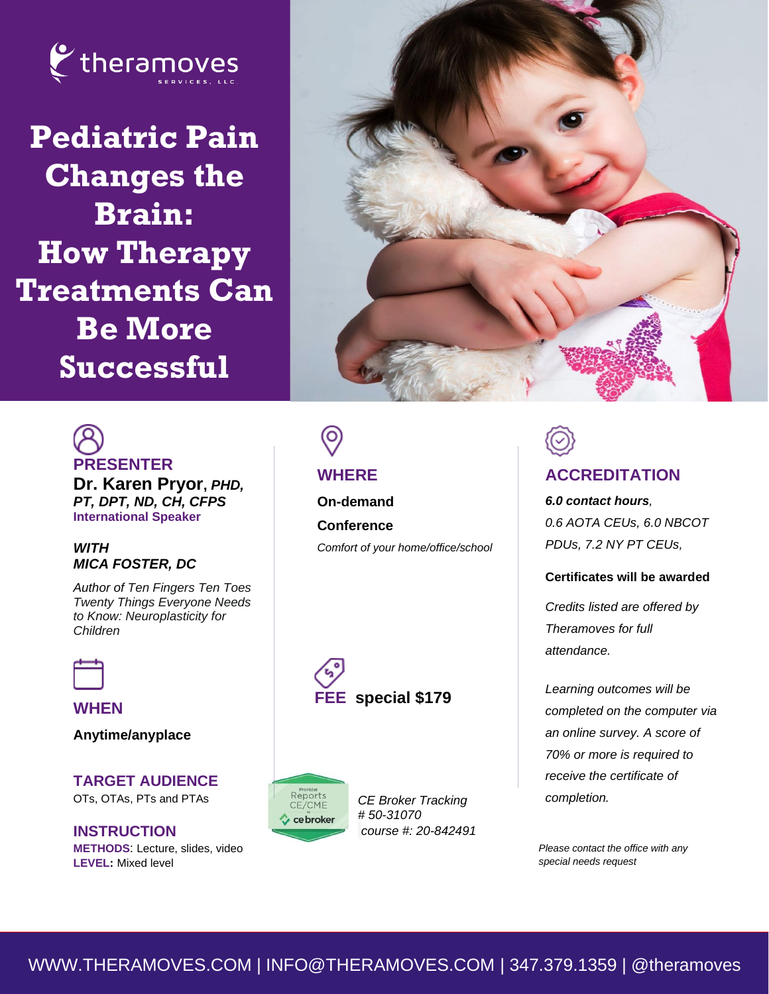

**Pediatric Pain Changes the Brain: How Therapy Treatments Can Be More Successful**



# **PRESENTER**

**Dr. Karen Pryor,** *PHD, PT, DPT, ND, CH, CFPS* **International Speaker**

#### *WITH MICA FOSTER, DC*

*Author of Ten Fingers Ten Toes Twenty Things Everyone Needs to Know: Neuroplasticity for Children* 

**WHEN**

**Anytime/anyplace**

**TARGET AUDIENCE**  OTs, OTAs, PTs and PTAs

**INSTRUCTION METHODS**: Lecture, slides, video **LEVEL:** Mixed level

### Ό

### **WHERE**

**On-demand Conference**  *Comfort of your home/office/school*





*CE Broker Tracking # 50-31070 course #: 20-842491*

## **ACCREDITATION**

*6.0 contact hours, 0.6 AOTA CEUs, 6.0 NBCOT PDUs, 7.2 NY PT CEUs,* 

#### **Certificates will be awarded**

*Credits listed are offered by Theramoves for full attendance.*

*Learning outcomes will be completed on the computer via an online survey. A score of 70% or more is required to receive the certificate of completion.*

*Please contact the office with any special needs request*